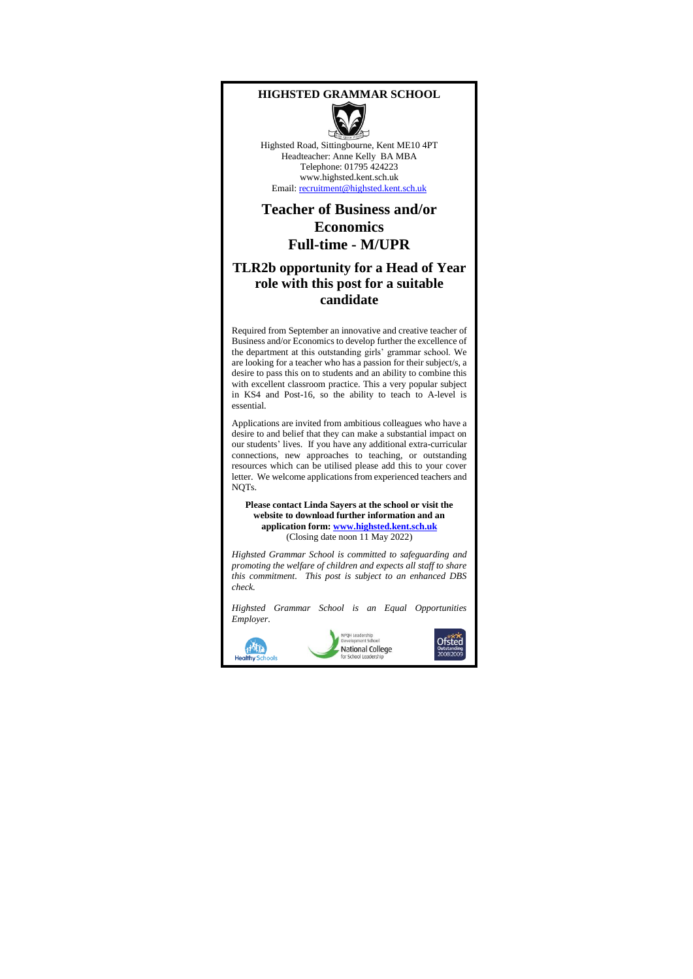#### **HIGHSTED GRAMMAR SCHOOL**



Highsted Road, Sittingbourne, Kent ME10 4PT Headteacher: Anne Kelly BA MBA Telephone: 01795 424223 www.highsted.kent.sch.uk Email: [recruitment@highsted.kent.sch.uk](mailto:recruitment@highsted.kent.sch.uk)

## **Teacher of Business and/or Economics Full-time - M/UPR**

### **TLR2b opportunity for a Head of Year role with this post for a suitable candidate**

Required from September an innovative and creative teacher of Business and/or Economics to develop further the excellence of the department at this outstanding girls' grammar school. We are looking for a teacher who has a passion for their subject/s, a desire to pass this on to students and an ability to combine this with excellent classroom practice. This a very popular subject in KS4 and Post-16, so the ability to teach to A-level is essential.

Applications are invited from ambitious colleagues who have a desire to and belief that they can make a substantial impact on our students' lives. If you have any additional extra-curricular connections, new approaches to teaching, or outstanding resources which can be utilised please add this to your cover letter. We welcome applications from experienced teachers and NOT<sub>s</sub>.

**Please contact Linda Sayers at the school or visit the website to download further information and an application form[: www.highsted.kent.sch.uk](http://www.highsted.kent.sch.uk/)** (Closing date noon 11 May 2022)

*Highsted Grammar School is committed to safeguarding and promoting the welfare of children and expects all staff to share this commitment. This post is subject to an enhanced DBS check.*

*Highsted Grammar School is an Equal Opportunities Employer.*

**POH Leader** 



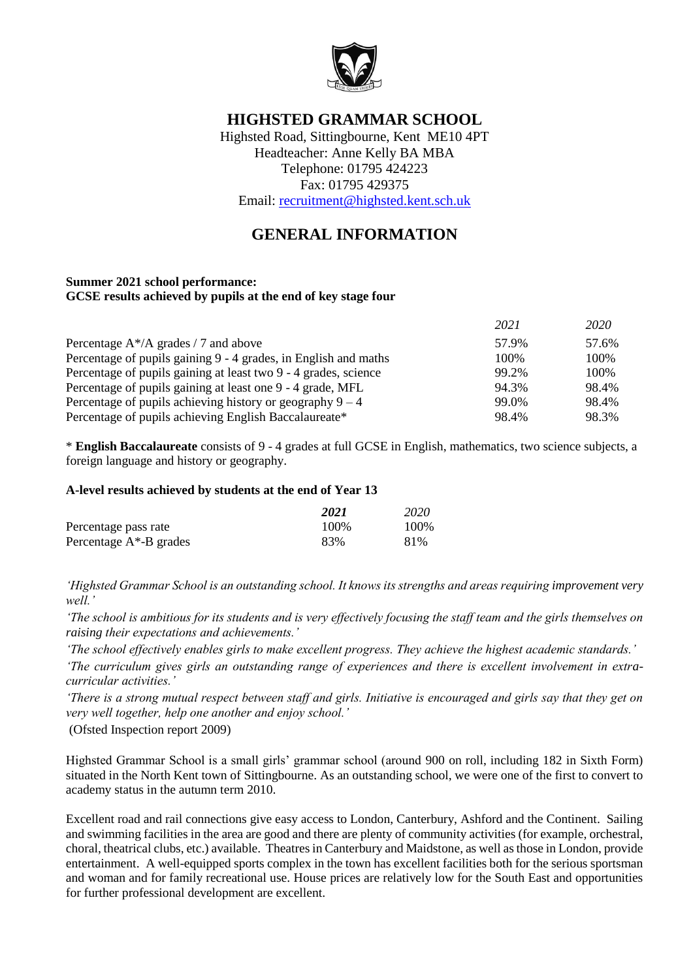

# **HIGHSTED GRAMMAR SCHOOL**

Highsted Road, Sittingbourne, Kent ME10 4PT Headteacher: Anne Kelly BA MBA Telephone: 01795 424223 Fax: 01795 429375 Email: [recruitment@highsted.kent.sch.uk](mailto:recruitment@highsted.kent.sch.uk)

# **GENERAL INFORMATION**

#### **Summer 2021 school performance: GCSE results achieved by pupils at the end of key stage four**

|                                                                 | 2021  | 2020  |
|-----------------------------------------------------------------|-------|-------|
| Percentage $A^*/A$ grades / 7 and above                         | 57.9% | 57.6% |
| Percentage of pupils gaining 9 - 4 grades, in English and maths | 100%  | 100\% |
| Percentage of pupils gaining at least two 9 - 4 grades, science | 99.2% | 100\% |
| Percentage of pupils gaining at least one 9 - 4 grade, MFL      | 94.3% | 98.4% |
| Percentage of pupils achieving history or geography $9 - 4$     | 99.0% | 98.4% |
| Percentage of pupils achieving English Baccalaureate*           | 98.4% | 98.3% |

\* **English Baccalaureate** consists of 9 - 4 grades at full GCSE in English, mathematics, two science subjects, a foreign language and history or geography.

### **A-level results achieved by students at the end of Year 13**

|                            | 2021 | 2020 |
|----------------------------|------|------|
| Percentage pass rate       | 100% | 100% |
| Percentage $A^*$ -B grades | 83%  | 81%  |

*'Highsted Grammar School is an outstanding school. It knows its strengths and areas requiring improvement very well.'*

*'The school is ambitious for its students and is very effectively focusing the staff team and the girls themselves on raising their expectations and achievements.'*

*'The school effectively enables girls to make excellent progress. They achieve the highest academic standards.'*

*'The curriculum gives girls an outstanding range of experiences and there is excellent involvement in extracurricular activities.'*

*'There is a strong mutual respect between staff and girls. Initiative is encouraged and girls say that they get on very well together, help one another and enjoy school.'*

(Ofsted Inspection report 2009)

Highsted Grammar School is a small girls' grammar school (around 900 on roll, including 182 in Sixth Form) situated in the North Kent town of Sittingbourne. As an outstanding school, we were one of the first to convert to academy status in the autumn term 2010.

Excellent road and rail connections give easy access to London, Canterbury, Ashford and the Continent. Sailing and swimming facilities in the area are good and there are plenty of community activities (for example, orchestral, choral, theatrical clubs, etc.) available. Theatres in Canterbury and Maidstone, as well as those in London, provide entertainment. A well-equipped sports complex in the town has excellent facilities both for the serious sportsman and woman and for family recreational use. House prices are relatively low for the South East and opportunities for further professional development are excellent.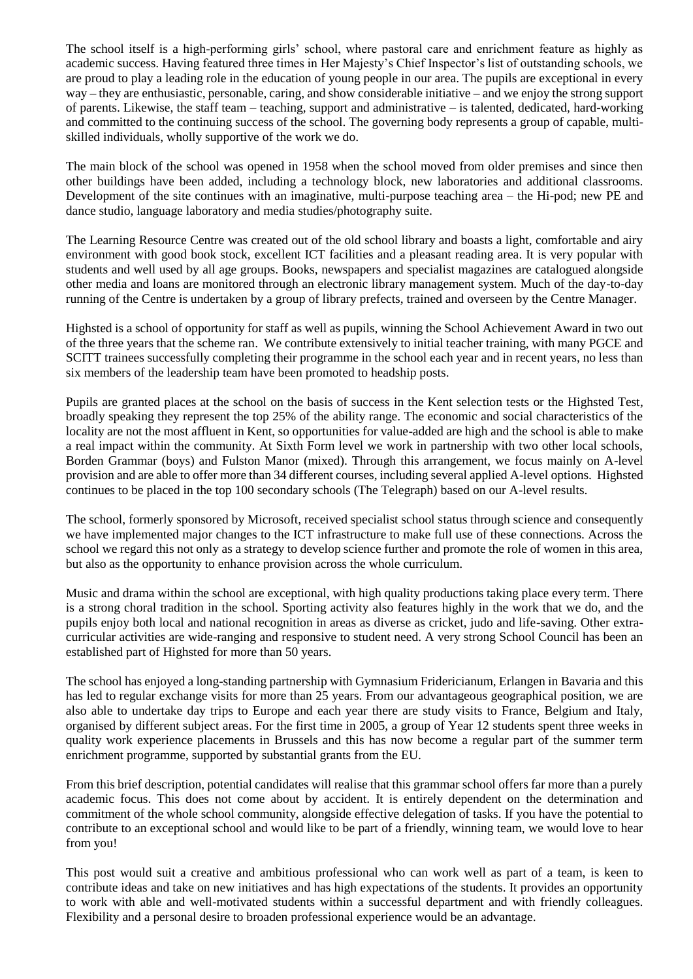The school itself is a high-performing girls' school, where pastoral care and enrichment feature as highly as academic success. Having featured three times in Her Majesty's Chief Inspector's list of outstanding schools, we are proud to play a leading role in the education of young people in our area. The pupils are exceptional in every way – they are enthusiastic, personable, caring, and show considerable initiative – and we enjoy the strong support of parents. Likewise, the staff team – teaching, support and administrative – is talented, dedicated, hard-working and committed to the continuing success of the school. The governing body represents a group of capable, multiskilled individuals, wholly supportive of the work we do.

The main block of the school was opened in 1958 when the school moved from older premises and since then other buildings have been added, including a technology block, new laboratories and additional classrooms. Development of the site continues with an imaginative, multi-purpose teaching area – the Hi-pod; new PE and dance studio, language laboratory and media studies/photography suite.

The Learning Resource Centre was created out of the old school library and boasts a light, comfortable and airy environment with good book stock, excellent ICT facilities and a pleasant reading area. It is very popular with students and well used by all age groups. Books, newspapers and specialist magazines are catalogued alongside other media and loans are monitored through an electronic library management system. Much of the day-to-day running of the Centre is undertaken by a group of library prefects, trained and overseen by the Centre Manager.

Highsted is a school of opportunity for staff as well as pupils, winning the School Achievement Award in two out of the three years that the scheme ran. We contribute extensively to initial teacher training, with many PGCE and SCITT trainees successfully completing their programme in the school each year and in recent years, no less than six members of the leadership team have been promoted to headship posts.

Pupils are granted places at the school on the basis of success in the Kent selection tests or the Highsted Test, broadly speaking they represent the top 25% of the ability range. The economic and social characteristics of the locality are not the most affluent in Kent, so opportunities for value-added are high and the school is able to make a real impact within the community. At Sixth Form level we work in partnership with two other local schools, Borden Grammar (boys) and Fulston Manor (mixed). Through this arrangement, we focus mainly on A-level provision and are able to offer more than 34 different courses, including several applied A-level options. Highsted continues to be placed in the top 100 secondary schools (The Telegraph) based on our A-level results.

The school, formerly sponsored by Microsoft, received specialist school status through science and consequently we have implemented major changes to the ICT infrastructure to make full use of these connections. Across the school we regard this not only as a strategy to develop science further and promote the role of women in this area, but also as the opportunity to enhance provision across the whole curriculum.

Music and drama within the school are exceptional, with high quality productions taking place every term. There is a strong choral tradition in the school. Sporting activity also features highly in the work that we do, and the pupils enjoy both local and national recognition in areas as diverse as cricket, judo and life-saving. Other extracurricular activities are wide-ranging and responsive to student need. A very strong School Council has been an established part of Highsted for more than 50 years.

The school has enjoyed a long-standing partnership with Gymnasium Fridericianum, Erlangen in Bavaria and this has led to regular exchange visits for more than 25 years. From our advantageous geographical position, we are also able to undertake day trips to Europe and each year there are study visits to France, Belgium and Italy, organised by different subject areas. For the first time in 2005, a group of Year 12 students spent three weeks in quality work experience placements in Brussels and this has now become a regular part of the summer term enrichment programme, supported by substantial grants from the EU.

From this brief description, potential candidates will realise that this grammar school offers far more than a purely academic focus. This does not come about by accident. It is entirely dependent on the determination and commitment of the whole school community, alongside effective delegation of tasks. If you have the potential to contribute to an exceptional school and would like to be part of a friendly, winning team, we would love to hear from you!

This post would suit a creative and ambitious professional who can work well as part of a team, is keen to contribute ideas and take on new initiatives and has high expectations of the students. It provides an opportunity to work with able and well-motivated students within a successful department and with friendly colleagues. Flexibility and a personal desire to broaden professional experience would be an advantage.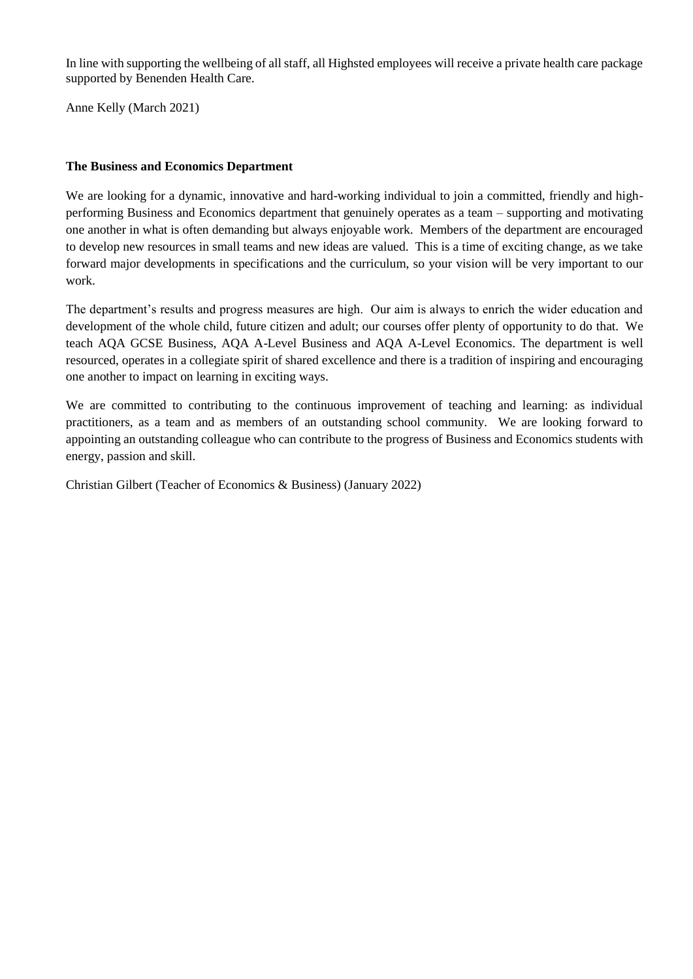In line with supporting the wellbeing of all staff, all Highsted employees will receive a private health care package supported by Benenden Health Care.

Anne Kelly (March 2021)

### **The Business and Economics Department**

We are looking for a dynamic, innovative and hard-working individual to join a committed, friendly and highperforming Business and Economics department that genuinely operates as a team – supporting and motivating one another in what is often demanding but always enjoyable work. Members of the department are encouraged to develop new resources in small teams and new ideas are valued. This is a time of exciting change, as we take forward major developments in specifications and the curriculum, so your vision will be very important to our work.

The department's results and progress measures are high. Our aim is always to enrich the wider education and development of the whole child, future citizen and adult; our courses offer plenty of opportunity to do that. We teach AQA GCSE Business, AQA A-Level Business and AQA A-Level Economics. The department is well resourced, operates in a collegiate spirit of shared excellence and there is a tradition of inspiring and encouraging one another to impact on learning in exciting ways.

We are committed to contributing to the continuous improvement of teaching and learning: as individual practitioners, as a team and as members of an outstanding school community. We are looking forward to appointing an outstanding colleague who can contribute to the progress of Business and Economics students with energy, passion and skill.

Christian Gilbert (Teacher of Economics & Business) (January 2022)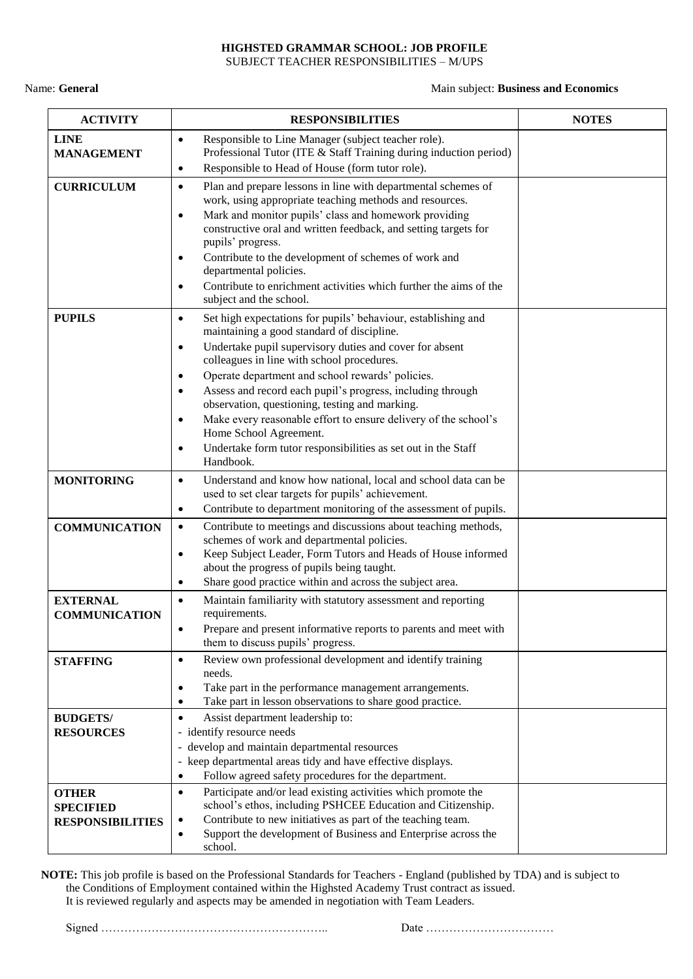#### **HIGHSTED GRAMMAR SCHOOL: JOB PROFILE** SUBJECT TEACHER RESPONSIBILITIES – M/UPS

Name: **General** Main subject: **Business and Economics**

| <b>ACTIVITY</b>                                             | <b>RESPONSIBILITIES</b>                                                                                                                                                                                                                                                                                                                                                                                                                                                                                                                                                                                                                   | <b>NOTES</b> |
|-------------------------------------------------------------|-------------------------------------------------------------------------------------------------------------------------------------------------------------------------------------------------------------------------------------------------------------------------------------------------------------------------------------------------------------------------------------------------------------------------------------------------------------------------------------------------------------------------------------------------------------------------------------------------------------------------------------------|--------------|
| <b>LINE</b><br><b>MANAGEMENT</b>                            | Responsible to Line Manager (subject teacher role).<br>$\bullet$<br>Professional Tutor (ITE & Staff Training during induction period)<br>Responsible to Head of House (form tutor role).<br>$\bullet$                                                                                                                                                                                                                                                                                                                                                                                                                                     |              |
| <b>CURRICULUM</b>                                           | Plan and prepare lessons in line with departmental schemes of<br>$\bullet$<br>work, using appropriate teaching methods and resources.<br>Mark and monitor pupils' class and homework providing<br>$\bullet$<br>constructive oral and written feedback, and setting targets for<br>pupils' progress.<br>Contribute to the development of schemes of work and<br>٠<br>departmental policies.<br>Contribute to enrichment activities which further the aims of the<br>$\bullet$<br>subject and the school.                                                                                                                                   |              |
| <b>PUPILS</b>                                               | Set high expectations for pupils' behaviour, establishing and<br>$\bullet$<br>maintaining a good standard of discipline.<br>Undertake pupil supervisory duties and cover for absent<br>٠<br>colleagues in line with school procedures.<br>Operate department and school rewards' policies.<br>$\bullet$<br>Assess and record each pupil's progress, including through<br>$\bullet$<br>observation, questioning, testing and marking.<br>Make every reasonable effort to ensure delivery of the school's<br>$\bullet$<br>Home School Agreement.<br>Undertake form tutor responsibilities as set out in the Staff<br>$\bullet$<br>Handbook. |              |
| <b>MONITORING</b>                                           | Understand and know how national, local and school data can be<br>$\bullet$<br>used to set clear targets for pupils' achievement.<br>Contribute to department monitoring of the assessment of pupils.<br>$\bullet$                                                                                                                                                                                                                                                                                                                                                                                                                        |              |
| <b>COMMUNICATION</b>                                        | Contribute to meetings and discussions about teaching methods,<br>$\bullet$<br>schemes of work and departmental policies.<br>Keep Subject Leader, Form Tutors and Heads of House informed<br>$\bullet$<br>about the progress of pupils being taught.<br>Share good practice within and across the subject area.<br>$\bullet$                                                                                                                                                                                                                                                                                                              |              |
| <b>EXTERNAL</b><br><b>COMMUNICATION</b>                     | Maintain familiarity with statutory assessment and reporting<br>$\bullet$<br>requirements.<br>Prepare and present informative reports to parents and meet with<br>$\bullet$<br>them to discuss pupils' progress.                                                                                                                                                                                                                                                                                                                                                                                                                          |              |
| <b>STAFFING</b>                                             | Review own professional development and identify training<br>$\bullet$<br>needs.<br>Take part in the performance management arrangements.<br>٠<br>Take part in lesson observations to share good practice.<br>$\bullet$                                                                                                                                                                                                                                                                                                                                                                                                                   |              |
| <b>BUDGETS/</b><br><b>RESOURCES</b>                         | Assist department leadership to:<br>$\bullet$<br>- identify resource needs<br>- develop and maintain departmental resources<br>- keep departmental areas tidy and have effective displays.<br>Follow agreed safety procedures for the department.<br>$\bullet$                                                                                                                                                                                                                                                                                                                                                                            |              |
| <b>OTHER</b><br><b>SPECIFIED</b><br><b>RESPONSIBILITIES</b> | Participate and/or lead existing activities which promote the<br>$\bullet$<br>school's ethos, including PSHCEE Education and Citizenship.<br>Contribute to new initiatives as part of the teaching team.<br>$\bullet$<br>Support the development of Business and Enterprise across the<br>$\bullet$<br>school.                                                                                                                                                                                                                                                                                                                            |              |

**NOTE:** This job profile is based on the Professional Standards for Teachers - England (published by TDA) and is subject to the Conditions of Employment contained within the Highsted Academy Trust contract as issued. It is reviewed regularly and aspects may be amended in negotiation with Team Leaders.

Signed ………………………………………………….. Date ……………………………